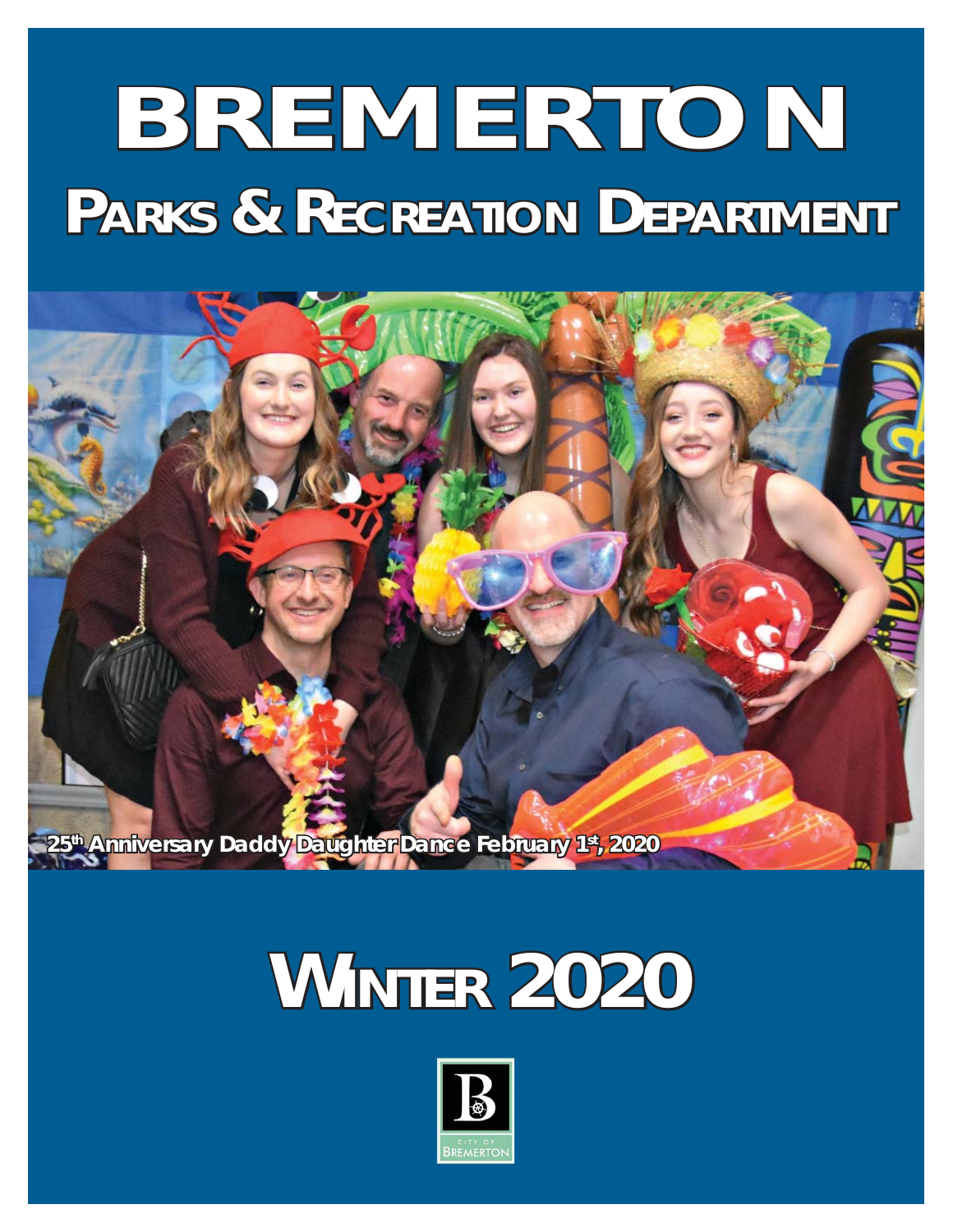# **BREMERTON REMERTON PARKS & RECREATION DEPARTMENT**



# **WINTER 2020**

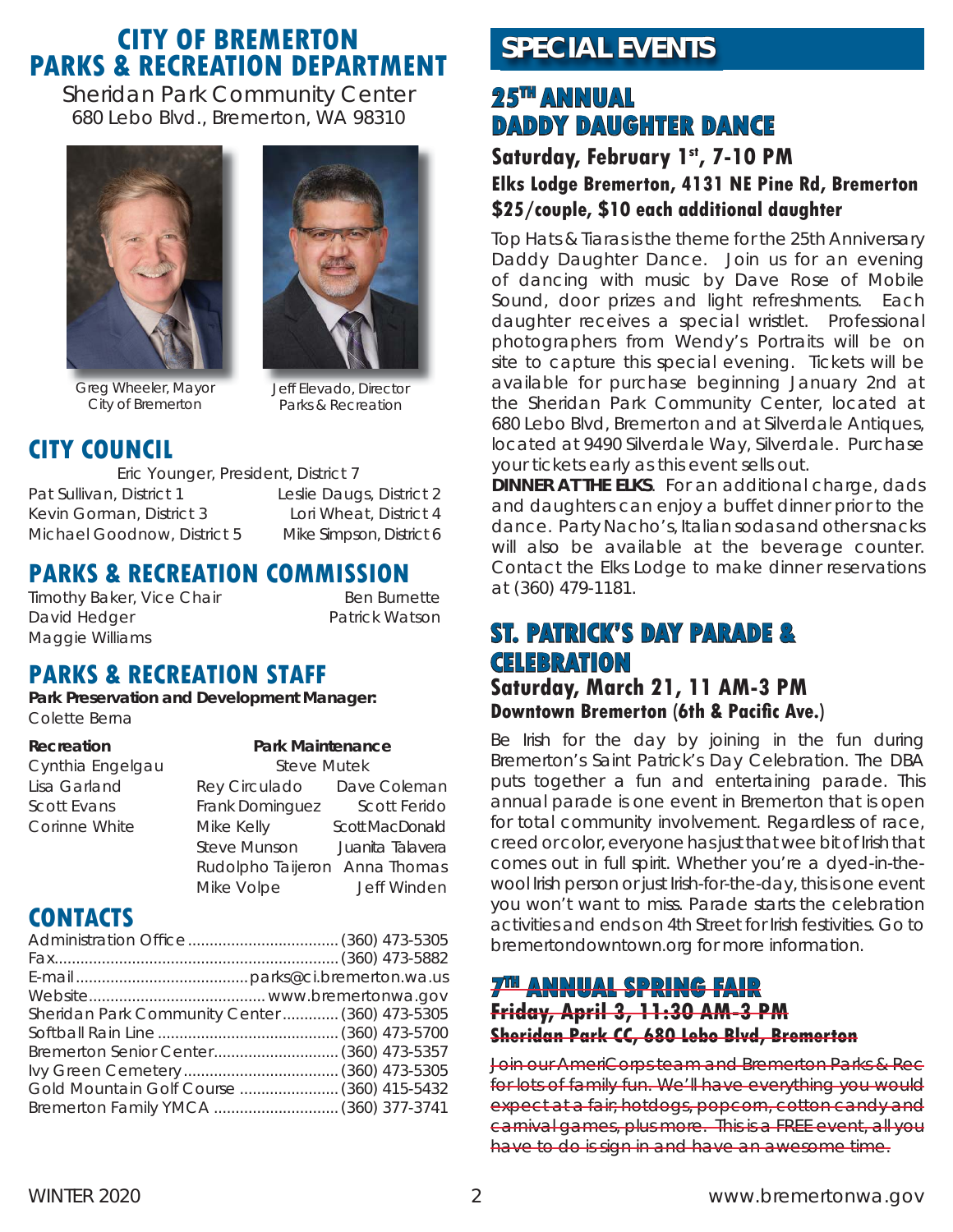# **CITY OF BREMERTON PARKS & RECREATION DEPARTMENT**

Sheridan Park Community Center 680 Lebo Blvd., Bremerton, WA 98310





Greg Wheeler, Mayor City of Bremerton Wheeler, Mayor **Jeff Elevado, Director** 

**CITY COUNCIL**

Parks & Recreation

#### Eric Younger, President, District 7 Pat Sullivan, District 1 Leslie Daugs, District 2

Kevin Gorman, District 3 Lori Wheat, District 4 Michael Goodnow, District 5 Mike Simpson, District 6

# **PARKS & RECREATION COMMISSION**

Timothy Baker, Vice Chair Ben Burnette David Hedger **Patrick Watson** Maggie Williams

# **PARKS & RECREATION STAFF**

**Park Preservation and Development Manager:** Colette Berna

| Recreation       | <b>Park Maintenance</b>       |                  |
|------------------|-------------------------------|------------------|
| Cynthia Engelgau | <b>Steve Mutek</b>            |                  |
| Lisa Garland     | Rey Circulado                 | Dave Coleman     |
| Scott Evans      | <b>Frank Dominguez</b>        | Scott Ferido     |
| Corinne White    | Mike Kelly                    | Scott MacDonald  |
|                  | <b>Steve Munson</b>           | Juanita Talavera |
|                  | Rudolpho Taijeron Anna Thomas |                  |
|                  | Mike Volpe                    | Jeff Winden      |

# **CONTACTS**

| Sheridan Park Community Center  (360) 473-5305 |  |
|------------------------------------------------|--|
|                                                |  |
|                                                |  |
|                                                |  |
|                                                |  |
|                                                |  |

# **SPECIAL EVENTS**

# **25TH ANNUAL DADDY DAUGHTER DANCE**

### Saturday, February 1st, 7-10 PM **Elks Lodge Bremerton, 4131 NE Pine Rd, Bremerton \$25/couple, \$10 each additional daughter**

Top Hats & Tiaras is the theme for the 25th Anniversary Daddy Daughter Dance. Join us for an evening of dancing with music by Dave Rose of Mobile Sound, door prizes and light refreshments. Each daughter receives a special wristlet. Professional photographers from Wendy's Portraits will be on site to capture this special evening. Tickets will be available for purchase beginning January 2nd at the Sheridan Park Community Center, located at 680 Lebo Blvd, Bremerton and at Silverdale Antiques, located at 9490 Silverdale Way, Silverdale. Purchase your tickets early as this event sells out.

**DINNER AT THE ELKS**. For an additional charge, dads and daughters can enjoy a buffet dinner prior to the dance. Party Nacho's, Italian sodas and other snacks will also be available at the beverage counter. Contact the Elks Lodge to make dinner reservations at (360) 479-1181.

# **ST. PATRICK'S DAY PARADE & CELEBRATION ELEBRATION**

#### **Saturday, March 21, 11 AM-3 PM Downtown Bremerton (6th & Pacific Ave.)**

Be Irish for the day by joining in the fun during Bremerton's Saint Patrick's Day Celebration. The DBA puts together a fun and entertaining parade. This annual parade is one event in Bremerton that is open for total community involvement. Regardless of race, creed or color, everyone has just that wee bit of Irish that comes out in full spirit. Whether you're a dyed-in-thewool Irish person or just Irish-for-the-day, this is one event you won't want to miss. Parade starts the celebration activities and ends on 4th Street for Irish festivities. Go to bremertondowntown.org for more information.

## **7THANNUAL SPRING FAIR ANNUAL Friday, April 3, 11:30 AM-3 PM Sheridan Park CC, 680 Lebo Blvd, Bremerton**

Join our AmeriCorps team and Bremerton Parks & Rec for lots of family fun. We'll have everything you would expect at a fair; hotdogs, popcorn, cotton candy and carnival games, plus more. This is a FREE event, all you have to do is sign in and have an awesome time.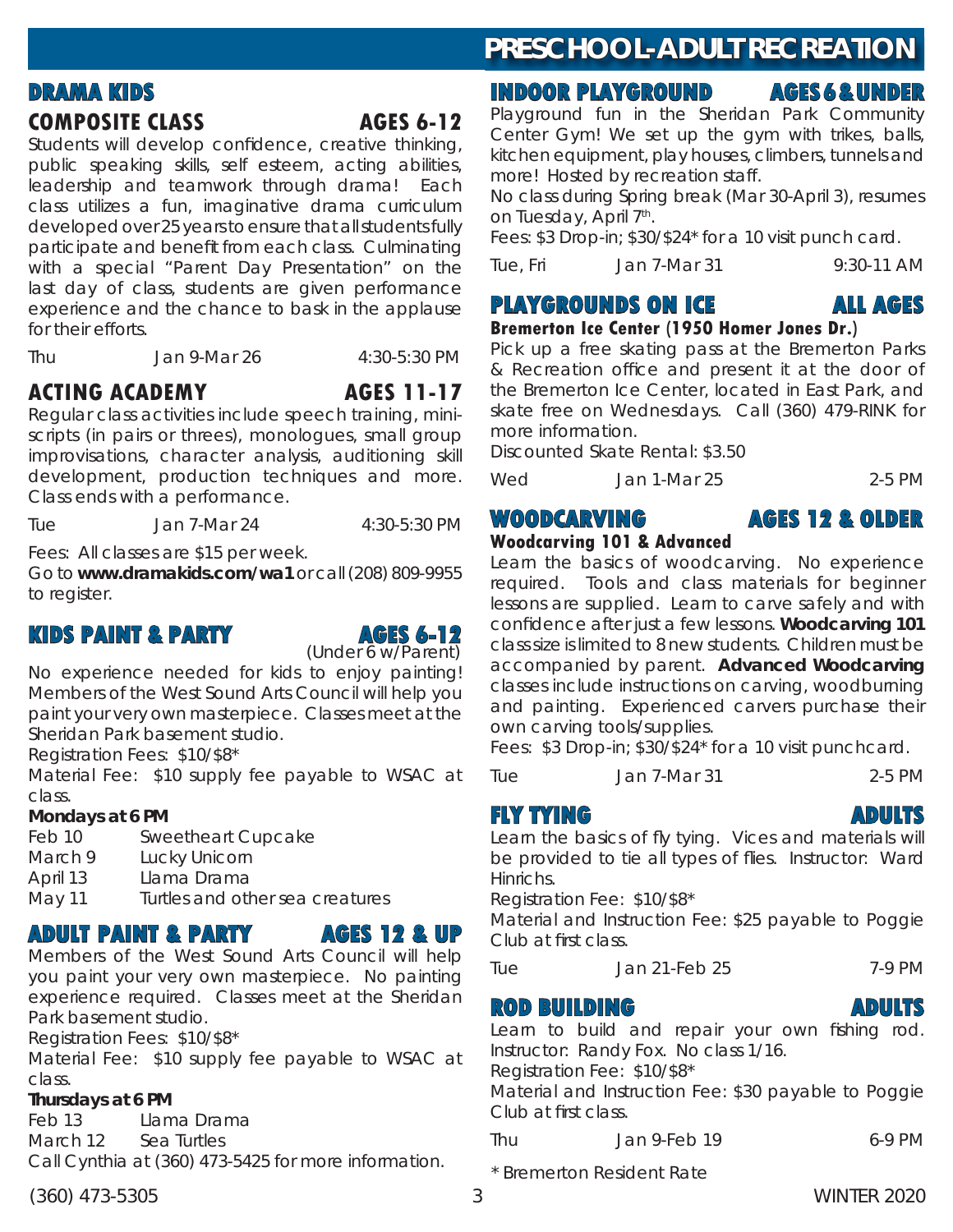# **PRESCHOOL-ADULT RECREATION RESCHOOL-ADULT**

#### **INDOOR PLAYGROUND AGES 6 & UNDER NDOOR**

Playground fun in the Sheridan Park Community Center Gym! We set up the gym with trikes, balls, kitchen equipment, play houses, climbers, tunnels and more! Hosted by recreation staff.

No class during Spring break (Mar 30-April 3), resumes on Tuesday, April 7<sup>th</sup>.

Fees: \$3 Drop-in; \$30/\$24\* for a 10 visit punch card.

Tue, Fri Jan 7-Mar 31 9:30-11 AM

# **PLAYGROUNDS ON ICE ALL AGES**

**Bremerton Ice Center (1950 Homer Jones Dr.)**

Pick up a free skating pass at the Bremerton Parks & Recreation office and present it at the door of the Bremerton Ice Center, located in East Park, and skate free on Wednesdays. Call (360) 479-RINK for more information.

Discounted Skate Rental: \$3.50

Wed Jan 1-Mar 25 2-5 PM

# **WOODCARVING AGES 12 & OLDER OODCARVING**

#### **Woodcarving 101 & Advanced**

Learn the basics of woodcarving. No experience required. Tools and class materials for beginner lessons are supplied. Learn to carve safely and with confidence after just a few lessons. **Woodcarving 101** class size is limited to 8 new students. Children must be accompanied by parent. **Advanced Woodcarving** classes include instructions on carving, woodburning and painting. Experienced carvers purchase their own carving tools/supplies.

Fees: \$3 Drop-in; \$30/\$24\* for a 10 visit punchcard.

Tue Jan 7-Mar 31 2-5 PM

#### **FLY TYING ADULTS**

Learn the basics of fly tying. Vices and materials will be provided to tie all types of flies. Instructor: Ward Hinrichs.

Registration Fee: \$10/\$8\*

Material and Instruction Fee: \$25 payable to Poggie Club at first class.

Tue Jan 21-Feb 25 7-9 PM

#### **ROD BUILDING ADULTS**

Learn to build and repair your own fishing rod. Instructor: Randy Fox. No class 1/16.

Registration Fee: \$10/\$8\*

Material and Instruction Fee: \$30 payable to Poggie Club at first class.

 $I$ an 9-Feb 19 6-9 PM

**DRAMA KIDS** 

for their efforts.

to register.

class.

**Mondays at 6 PM**

**COMPOSITE CLASS AGES 6-12** Students will develop confidence, creative thinking, public speaking skills, self esteem, acting abilities, leadership and teamwork through drama! Each class utilizes a fun, imaginative drama curriculum developed over 25 years to ensure that all students fully participate and benefit from each class. Culminating with a special "Parent Day Presentation" on the last day of class, students are given performance experience and the chance to bask in the applause

 $I_{1}$  Jan 9-Mar 26  $4:30-5:30$  PM

**ACTING ACADEMY AGES 11-17** Regular class activities include speech training, miniscripts (in pairs or threes), monologues, small group improvisations, character analysis, auditioning skill development, production techniques and more.

Tue Jan 7-Mar 24 4:30-5:30 PM

Go to **www.dramakids.com/wa1** or call (208) 809-9955

**KIDS PAINT & PARTY AGES 6-12** 

No experience needed for kids to enjoy painting! Members of the West Sound Arts Council will help you paint your very own masterpiece. Classes meet at the

#### **Thursdays at 6 PM**

Feb 13 Llama Drama March 12 Sea Turtles Call Cynthia at (360) 473-5425 for more information. *\* Bremerton Resident Rate*

(360) 473-5305 3 WINTER 2020

#### **ADULT PAINT & PARTY AGES 12 & UP**

March 9 Lucky Unicorn April 13 Llama Drama May 11 Turtles and other sea creatures

Feb 10 Sweetheart Cupcake

Class ends with a performance.

Fees: All classes are \$15 per week.

Sheridan Park basement studio. Registration Fees: \$10/\$8\*

Members of the West Sound Arts Council will help you paint your very own masterpiece. No painting experience required. Classes meet at the Sheridan Park basement studio.

Registration Fees: \$10/\$8\*

Material Fee: \$10 supply fee payable to WSAC at class.

Material Fee: \$10 supply fee payable to WSAC at

(Under 6 w/Parent)

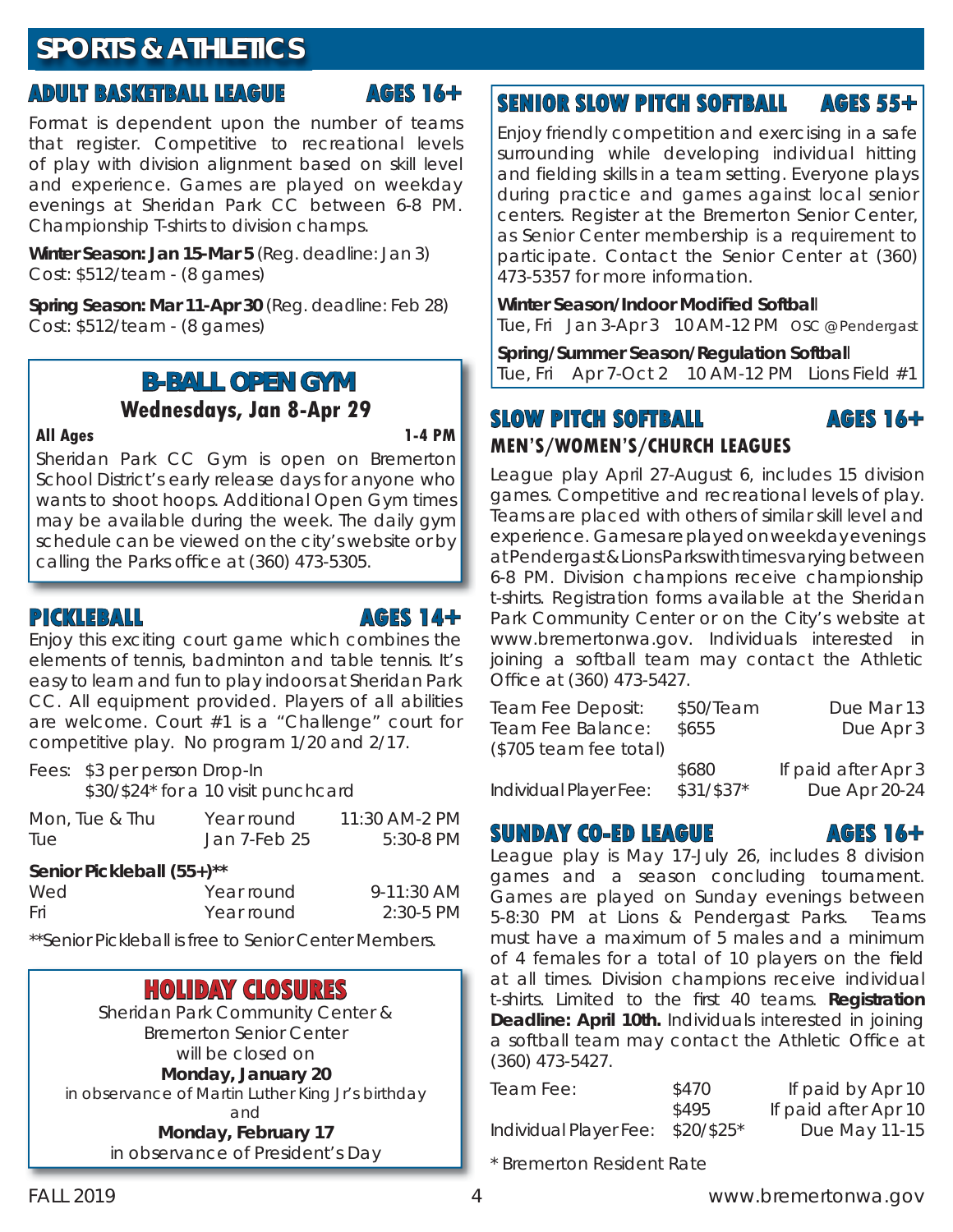# **SPORTS & ATHLETICS**

## **ADULT BASKETBALL LEAGUE AGES 16+**

Format is dependent upon the number of teams that register. Competitive to recreational levels of play with division alignment based on skill level and experience. Games are played on weekday evenings at Sheridan Park CC between 6-8 PM. Championship T-shirts to division champs.

**Winter Season: Jan 15-Mar 5** (Reg. deadline: Jan 3) Cost: \$512/team - (8 games)

**Spring Season: Mar 11-Apr 30** (Reg. deadline: Feb 28) Cost: \$512/team - (8 games)

# **B-BALL OPEN GYM -BALL Wednesdays, Jan 8-Apr 29**

#### **All Ages 1-4 PM**

Sheridan Park CC Gym is open on Bremerton School District's early release days for anyone who wants to shoot hoops. Additional Open Gym times may be available during the week. The daily gym schedule can be viewed on the city's website or by calling the Parks office at (360) 473-5305.

#### **PICKLEBALL AGES 14+**

Enjoy this exciting court game which combines the elements of tennis, badminton and table tennis. It's easy to learn and fun to play indoors at Sheridan Park CC. All equipment provided. Players of all abilities are welcome. Court #1 is a "Challenge" court for competitive play. No program 1/20 and 2/17.

Fees: \$3 per person Drop-In \$30/\$24\* for a 10 visit punchcard

| Mon, Tue & Thu | Year round   | 11:30 AM-2 PM |
|----------------|--------------|---------------|
| Tue            | Jan 7-Feb 25 | $5:30-8$ PM   |

#### **Senior Pickleball (55+)\*\***

| Wed | Year round | $9-11:30$ AM |
|-----|------------|--------------|
| Fri | Year round | $2:30-5$ PM  |

*\*\*Senior Pickleball is free to Senior Center Members.*

## **HOLIDAY CLOSURES OLIDAY**

Sheridan Park Community Center & Bremerton Senior Center will be closed on **Monday, January 20** in observance of Martin Luther King Jr's birthday and **Monday, February 17** in observance of President's Day

# **SENIOR SLOW PITCH SOFTBALL AGES 55+**

Enjoy friendly competition and exercising in a safe surrounding while developing individual hitting and fielding skills in a team setting. Everyone plays during practice and games against local senior centers. Register at the Bremerton Senior Center, as Senior Center membership is a requirement to participate. Contact the Senior Center at (360) 473-5357 for more information.

**Winter Season/Indoor Modified Softball** 

Tue, Fri Jan 3-Apr 3 10 AM-12 PM OSC @ Pendergast

**Spring/Summer Season/Regulation Softbal**l Tue, Fri Apr 7-Oct 2 10 AM-12 PM Lions Field #1

# **SLOW PITCH SOFTBALL AGES 16+ MEN'S/WOMEN'S/CHURCH LEAGUES**

League play April 27-August 6, includes 15 division games. Competitive and recreational levels of play. Teams are placed with others of similar skill level and experience. Games are played on weekday evenings at Pendergast & Lions Parks with times varying between 6-8 PM. Division champions receive championship t-shirts. Registration forms available at the Sheridan Park Community Center or on the City's website at www.bremertonwa.gov. *Individuals interested in joining a softball team may contact the Athletic Offi ce at (360) 473-5427.*

| Team Fee Deposit:      | \$50/Team  | Due Mar 13          |
|------------------------|------------|---------------------|
| Team Fee Balance:      | \$655      | Due Apr 3           |
| (\$705 team fee total) |            |                     |
|                        | \$680      | If paid after Apr 3 |
| Individual Player Fee: | $$31/$37*$ | Due Apr 20-24       |
|                        |            |                     |

#### **SUNDAY CO-ED LEAGUE AGES 16+**

League play is May 17-July 26, includes 8 division games and a season concluding tournament. Games are played on Sunday evenings between 5-8:30 PM at Lions & Pendergast Parks. Teams must have a maximum of 5 males and a minimum of 4 females for a total of 10 players on the field at all times. Division champions receive individual t-shirts. Limited to the first 40 teams. **Registration Deadline: April 10th.** *Individuals interested in joining*  a softball team may contact the Athletic Office at *(360) 473-5427.*

| Team Fee:                         | \$470 | If paid by Apr 10    |
|-----------------------------------|-------|----------------------|
|                                   | \$495 | If paid after Apr 10 |
| Individual Player Fee: \$20/\$25* |       | Due May 11-15        |

*\* Bremerton Resident Rate*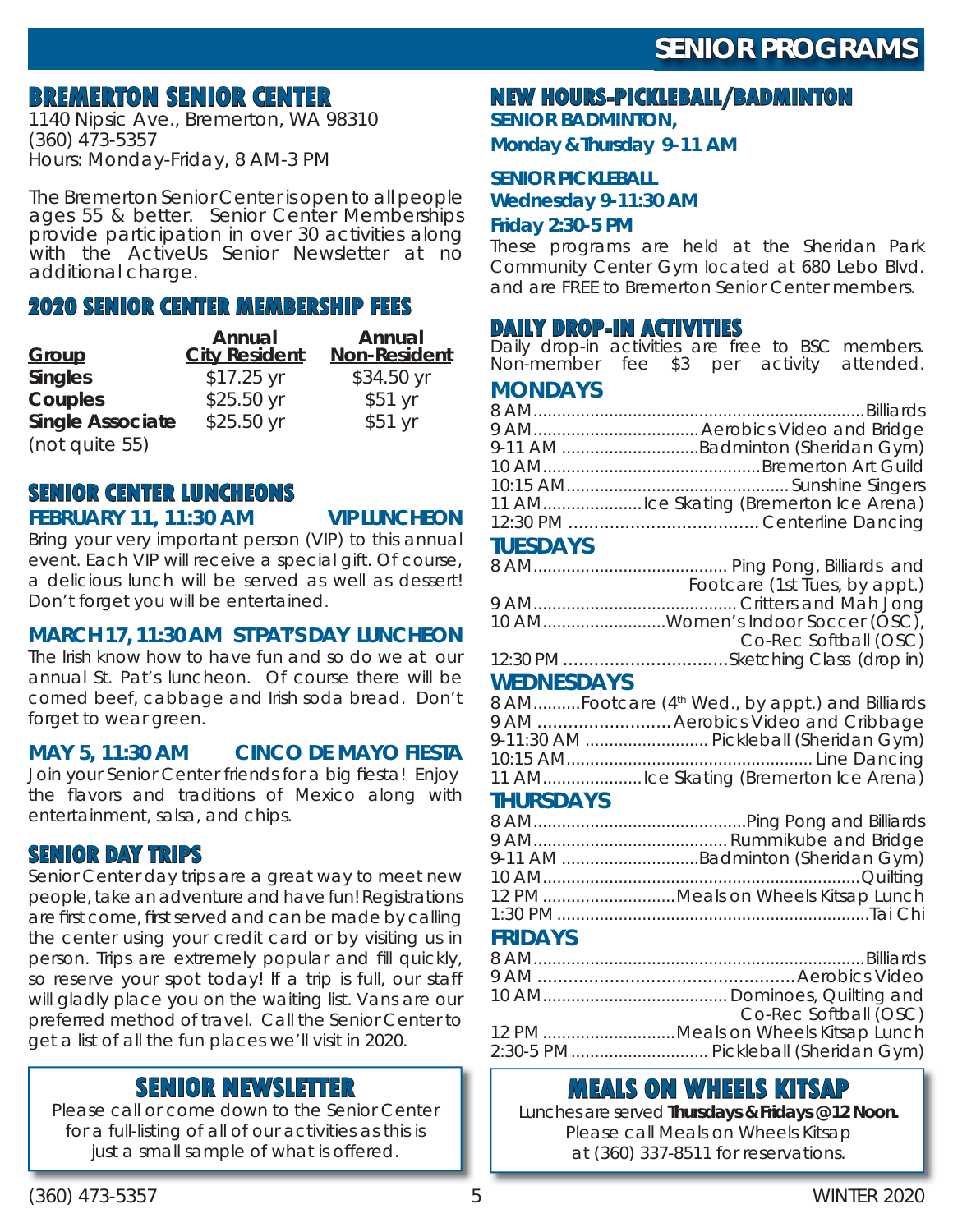# **SENIOR PROGRAMS**

#### **BREMERTON SENIOR CENTER REMERTON**

1140 Nipsic Ave., Bremerton, WA 98310 (360) 473-5357 Hours: Monday-Friday, 8 AM-3 PM

The Bremerton Senior Center is open to all people ages 55 & better. Senior Center Memberships provide participation in over 30 activities along with the ActiveUs Senior Newsletter at no additional charge.

#### **2020 SENIOR CENTER MEMBERSHIP FEES 020**

| Group                   | Annual<br><b>City Resident</b> | Annual<br>Non-Resident |
|-------------------------|--------------------------------|------------------------|
| <b>Singles</b>          | $$17.25$ yr                    | \$34.50 yr             |
| Couples                 | \$25.50 yr                     | \$51 yr                |
| <b>Single Associate</b> | \$25.50 yr                     | \$51 yr                |
| (not quite 55)          |                                |                        |

## **SENIOR CENTER LUNCHEONS**

#### **FEBRUARY 11, 11:30 AM VIP LUNCHEON**

Bring your very important person (VIP) to this annual event. Each VIP will receive a special gift. Of course, a delicious lunch will be served as well as dessert! Don't forget you will be entertained.

#### **MARCH 17, 11:30 AM ST PAT'S DAY LUNCHEON**

The Irish know how to have fun and so do we at our annual St. Pat's luncheon. Of course there will be corned beef, cabbage and Irish soda bread. Don't forget to wear green.

#### **MAY 5, 11:30 AM CINCO DE MAYO FIESTA**

Join your Senior Center friends for a big fiesta! Enjoy the flavors and traditions of Mexico along with entertainment, salsa, and chips.

#### **SENIOR DAY TRIPS**

Senior Center day trips are a great way to meet new people, take an adventure and have fun! Registrations are first come, first served and can be made by calling the center using your credit card or by visiting us in person. Trips are extremely popular and fill quickly, so reserve your spot today! If a trip is full, our staff will gladly place you on the waiting list. Vans are our preferred method of travel. Call the Senior Center to get a list of all the fun places we'll visit in 2020.

# **SENIOR NEWSLETTER**

Please call or come down to the Senior Center for a full-listing of all of our activities as this is just a small sample of what is offered.

#### **NEW HOURS-PICKLEBALL/BADMINTON**

**SENIOR BADMINTON,** 

**Monday & Thursday 9-11 AM**

#### **SENIOR PICKLEBALL**

**Wednesday 9-11:30 AM** 

#### **Friday 2:30-5 PM**

These programs are held at the Sheridan Park Community Center Gym located at 680 Lebo Blvd. and are FREE to Bremerton Senior Center members.

#### **DAILY DROP-IN ACTIVITIES**

Daily drop-in activities are free to BSC members. Non-member fee \$3 per activity attended.

#### **MONDAYS**

| 9-11 AM Badminton (Sheridan Gym) |
|----------------------------------|
|                                  |
|                                  |
|                                  |
|                                  |

#### **TUESDAYS**

| Footcare (1st Tues, by appt.)     |
|-----------------------------------|
|                                   |
| 10 AMWomen's Indoor Soccer (OSC), |
| Co-Rec Softball (OSC)             |
|                                   |

#### **WEDNESDAYS**

| 8 AMFootcare (4 <sup>th</sup> Wed., by appt.) and Billiards |
|-------------------------------------------------------------|
| 9 AM  Aerobics Video and Cribbage                           |
| 9-11:30 AM  Pickleball (Sheridan Gym)                       |
|                                                             |
|                                                             |

#### **THURSDAYS**

| 9-11 AM Badminton (Sheridan Gym)   |
|------------------------------------|
|                                    |
| 12 PM Meals on Wheels Kitsap Lunch |
|                                    |

#### **FRIDAYS**

| Co-Rec Softball (OSC)               |
|-------------------------------------|
| 12 PM Meals on Wheels Kitsap Lunch  |
| 2:30-5 PM Pickleball (Sheridan Gym) |

## **MEALS ON WHEELS KITSAP**

Lunches are served **Thursdays & Fridays @ 12 Noon.**  Please call Meals on Wheels Kitsap at (360) 337-8511 for reservations.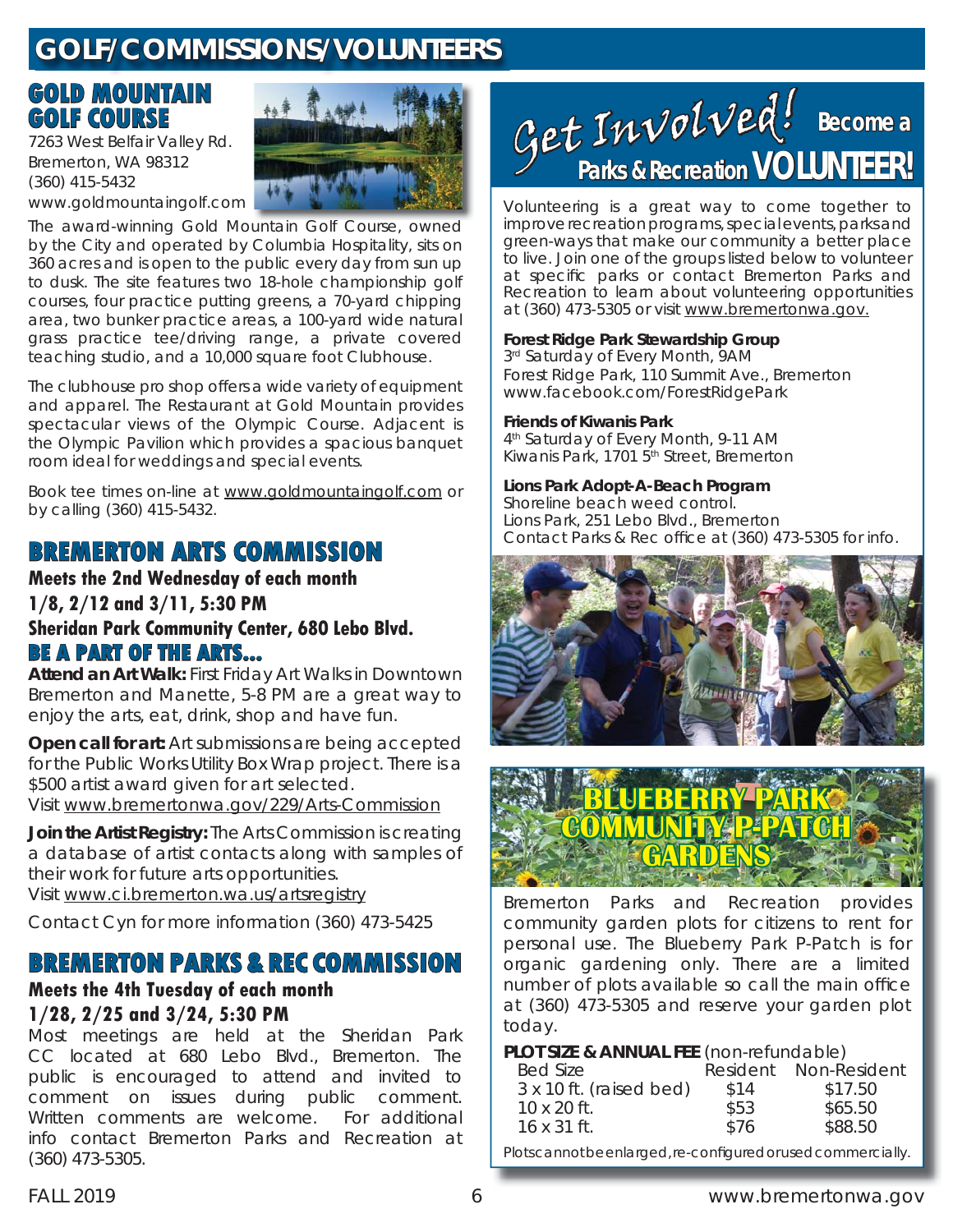# **GOLF/COMMISSIONS/VOLUNTEERS**

## **GOLD MOUNTAIN OLD GOLF COURSE OLF**

7263 West Belfair Valley Rd. Bremerton, WA 98312 (360) 415-5432 www.goldmountaingolf.com



The award-winning Gold Mountain Golf Course, owned by the City and operated by Columbia Hospitality, sits on 360 acres and is open to the public every day from sun up to dusk. The site features two 18-hole championship golf courses, four practice putting greens, a 70-yard chipping area, two bunker practice areas, a 100-yard wide natural grass practice tee/driving range, a private covered teaching studio, and a 10,000 square foot Clubhouse.

The clubhouse pro shop offers a wide variety of equipment and apparel. The Restaurant at Gold Mountain provides spectacular views of the Olympic Course. Adjacent is the Olympic Pavilion which provides a spacious banquet room ideal for weddings and special events.

Book tee times on-line at www.goldmountaingolf.com or by calling (360) 415-5432.

# **BREMERTON ARTS COMMISSION REMERTON**

**Meets the 2nd Wednesday of each month 1/8, 2/12 and 3/11, 5:30 PM Sheridan Park Community Center, 680 Lebo Blvd. BE A PART OF THE ARTS...** 

**Attend an Art Walk:** First Friday Art Walks in Downtown Bremerton and Manette, 5-8 PM are a great way to enjoy the arts, eat, drink, shop and have fun.

**Open call for art:** Art submissions are being accepted for the Public Works Utility Box Wrap project. There is a \$500 artist award given for art selected. Visit www.bremertonwa.gov/229/Arts-Commission

**Join the Artist Registry:** The Arts Commission is creating a database of artist contacts along with samples of their work for future arts opportunities. Visit www.ci.bremerton.wa.us/artsregistry

Contact Cyn for more information (360) 473-5425

# **BREMERTON PARKS & REC COMMISSION REMERTON**

#### **Meets the 4th Tuesday of each month 1/28, 2/25 and 3/24, 5:30 PM**

Most meetings are held at the Sheridan Park CC located at 680 Lebo Blvd., Bremerton. The public is encouraged to attend and invited to comment on issues during public comment. Written comments are welcome. For additional info contact Bremerton Parks and Recreation at (360) 473-5305.



Volunteering is a great way to come together to improve recreation programs, special events, parks and green-ways that make our community a better place to live. Join one of the groups listed below to volunteer at specific parks or contact Bremerton Parks and Recreation to learn about volunteering opportunities at (360) 473-5305 or visit www.bremertonwa.gov.

#### **Forest Ridge Park Stewardship Group**

3rd Saturday of Every Month, 9AM Forest Ridge Park, 110 Summit Ave., Bremerton www.facebook.com/ForestRidgePark

#### **Friends of Kiwanis Park**

4<sup>th</sup> Saturday of Every Month, 9-11 AM Kiwanis Park, 1701 5<sup>th</sup> Street, Bremerton

#### **Lions Park Adopt-A-Beach Program**

Shoreline beach weed control. Lions Park, 251 Lebo Blvd., Bremerton Contact Parks & Rec office at (360) 473-5305 for info.





Bremerton Parks and Recreation provides community garden plots for citizens to rent for personal use. The Blueberry Park P-Patch is for organic gardening only. There are a limited number of plots available so call the main office at (360) 473-5305 and reserve your garden plot today.

#### **PLOT SIZE & ANNUAL FEE** (non-refundable)

| Bed Size                |      | Resident Non-Resident |
|-------------------------|------|-----------------------|
| 3 x 10 ft. (raised bed) | \$14 | \$17.50               |
| 10 x 20 ft.             | \$53 | \$65.50               |
| $16 \times 31$ ft.      | \$76 | \$88.50               |
|                         |      |                       |

*Plots cannot be enlarged, re-confi gured or used commercially.*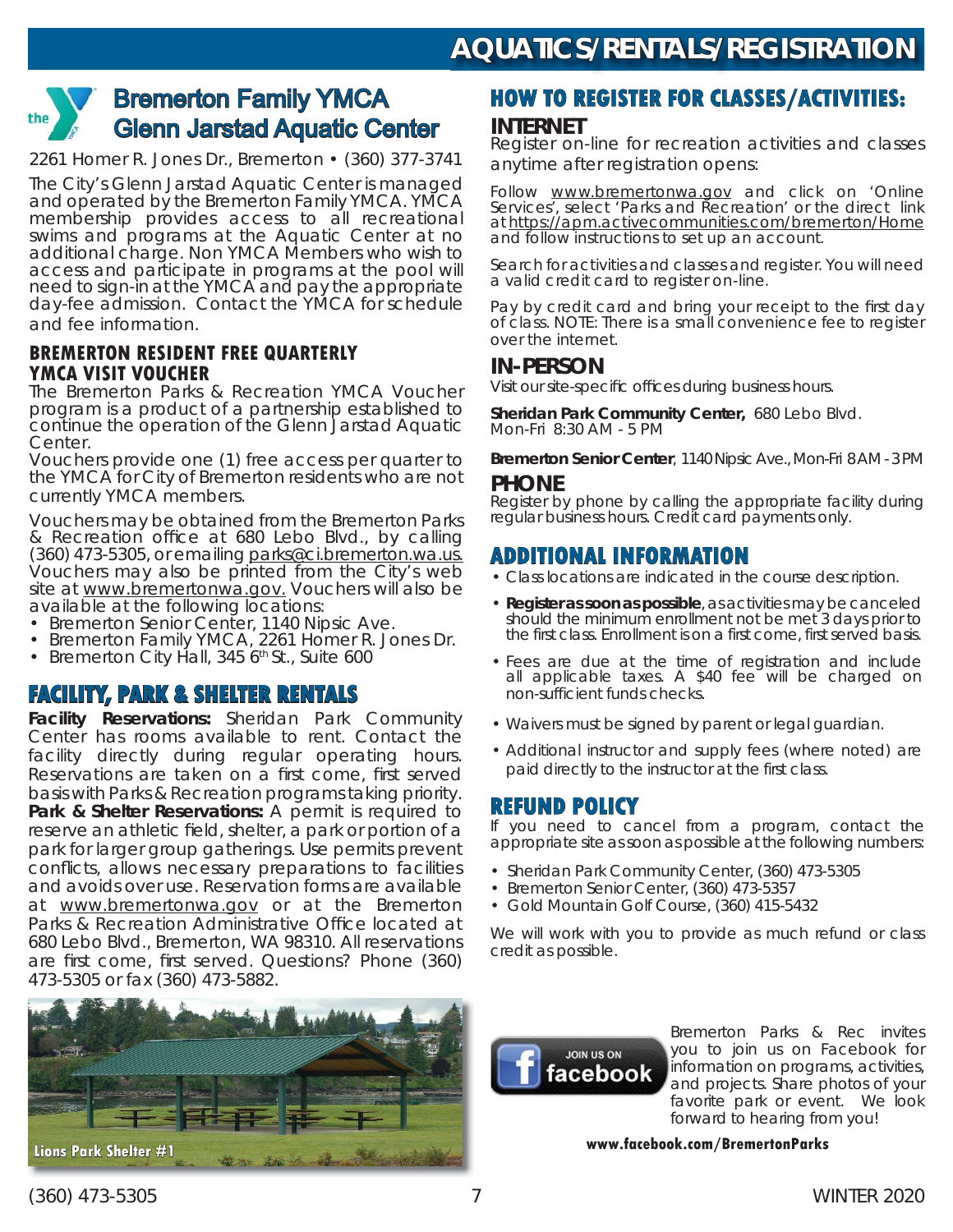

# **Bremerton Family YMCA Glenn Jarstad Aquatic Center**

#### 2261 Homer R. Jones Dr., Bremerton • (360) 377-3741

The City's Glenn Jarstad Aquatic Center is managed and operated by the Bremerton Family YMCA. YMCA membership provides access to all recreational swims and programs at the Aquatic Center at no additional charge. Non YMCA Members who wish to access and participate in programs at the pool will need to sign-in at the YMCA and pay the appropriate day-fee admission. Contact the YMCA for schedule and fee information.

#### **BREMERTON RESIDENT FREE QUARTERLY YMCA VISIT VOUCHER**

The Bremerton Parks & Recreation YMCA Voucher program is a product of a partnership established to continue the operation of the Glenn Jarstad Aquatic Center.

Vouchers provide one (1) free access per quarter to the YMCA for City of Bremerton residents who are not currently YMCA members.

Vouchers may be obtained from the Bremerton Parks & Recreation office at 680 Lebo Blvd., by calling (360) 473-5305, or emailing parks@ci.bremerton.wa.us. Vouchers may also be printed from the City's web site at www.bremertonwa.gov. Vouchers will also be available at the following locations:

- Bremerton Senior Center, 1140 Nipsic Ave.
- Bremerton Family YMCA, 2261 Homer R. Jones Dr.
- Bremerton City Hall, 345 6<sup>th</sup> St., Suite 600

#### **FACILITY, PARK & SHELTER RENTALS**

**Facility Reservations:** Sheridan Park Community Center has rooms available to rent. Contact the facility directly during regular operating hours. Reservations are taken on a first come, first served basis with Parks & Recreation programs taking priority. **Park & Shelter Reservations:** A permit is required to reserve an athletic field, shelter, a park or portion of a park for larger group gatherings. Use permits prevent conflicts, allows necessary preparations to facilities and avoids over use. Reservation forms are available at www.bremertonwa.gov or at the Bremerton Parks & Recreation Administrative Office located at 680 Lebo Blvd., Bremerton, WA 98310. All reservations are first come, first served. Questions? Phone (360) 473-5305 or fax (360) 473-5882.



# **HOW TO REGISTER FOR CLASSES/ACTIVITIES:**

#### **INTERNET**

Register on-line for recreation activities and classes anytime after registration opens:

Follow www.bremertonwa.gov and click on 'Online Services', select 'Parks and Recreation' or the direct link at https://apm.activecommunities.com/bremerton/Home and follow instructions to set up an account.

Search for activities and classes and register. You will need a valid credit card to register on-line.

Pay by credit card and bring your receipt to the first day of class. NOTE: There is a small convenience fee to register over the internet.

#### **IN-PERSON**

Visit our site-specific offices during business hours.

**Sheridan Park Community Center,** 680 Lebo Blvd. Mon-Fri 8:30 AM - 5 PM

**Bremerton Senior Center**, 1140 Nipsic Ave., Mon-Fri 8 AM - 3 PM **PHONE**

Register by phone by calling the appropriate facility during regular business hours. Credit card payments only.

### **ADDITIONAL INFORMATION**

- Class locations are indicated in the course description.
- **Register as soon as possible**, as activities may be canceled should the minimum enrollment not be met 3 days prior to the first class. Enrollment is on a first come, first served basis.
- Fees are due at the time of registration and include all applicable taxes. A \$40 fee will be charged on non-sufficient funds checks.
- Waivers must be signed by parent or legal guardian.
- Additional instructor and supply fees (where noted) are paid directly to the instructor at the first class.

#### **REFUND POLICY EFUND**

If you need to cancel from a program, contact the appropriate site as soon as possible at the following numbers:

- Sheridan Park Community Center, (360) 473-5305
- Bremerton Senior Center, (360) 473-5357
- Gold Mountain Golf Course, (360) 415-5432

We will work with you to provide as much refund or class credit as possible.



Bremerton Parks & Rec invites you to join us on Facebook for information on programs, activities, and projects. Share photos of your favorite park or event. We look forward to hearing from you!

**www.facebook.com/BremertonParks**